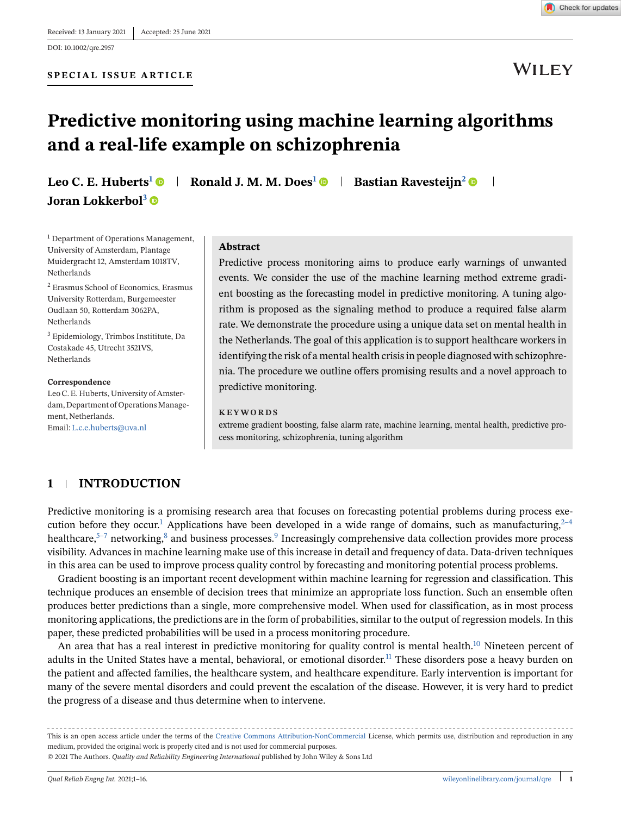

**WILEY** 

# **Predictive monitoring using machine learning algorithms and a real-life example on schizophrenia**

**Leo C. E. Huberts<sup>1</sup>**  $\bullet$  **| Ronald J. M. M. Does<sup>1</sup>**  $\bullet$  **| Bastian Ravesteijn<sup>2</sup>**  $\bullet$  **| Joran Lokkerbol<sup>3</sup>**

<sup>1</sup> Department of Operations Management, University of Amsterdam, Plantage Muidergracht 12, Amsterdam 1018TV, Netherlands

<sup>2</sup> Erasmus School of Economics, Erasmus University Rotterdam, Burgemeester Oudlaan 50, Rotterdam 3062PA, Netherlands

<sup>3</sup> Epidemiology, Trimbos Instititute, Da Costakade 45, Utrecht 3521VS, Netherlands

#### **Correspondence**

Leo C. E. Huberts, University of Amsterdam, Department of Operations Management, Netherlands. Email: [L.c.e.huberts@uva.nl](mailto:L.c.e.huberts@uva.nl)

#### **Abstract**

Predictive process monitoring aims to produce early warnings of unwanted events. We consider the use of the machine learning method extreme gradient boosting as the forecasting model in predictive monitoring. A tuning algorithm is proposed as the signaling method to produce a required false alarm rate. We demonstrate the procedure using a unique data set on mental health in the Netherlands. The goal of this application is to support healthcare workers in identifying the risk of a mental health crisis in people diagnosed with schizophrenia. The procedure we outline offers promising results and a novel approach to predictive monitoring.

#### **KEYWORDS**

extreme gradient boosting, false alarm rate, machine learning, mental health, predictive process monitoring, schizophrenia, tuning algorithm

# **1 INTRODUCTION**

Predictive monitoring is a promising research area that focuses on forecasting potential problems during process execution before they occur.<sup>1</sup> Applications have been developed in a wide range of domains, such as manufacturing,  $2^{-4}$ healthcare,<sup>5–7</sup> networking,<sup>8</sup> and business processes.<sup>9</sup> Increasingly comprehensive data collection provides more process visibility. Advances in machine learning make use of this increase in detail and frequency of data. Data-driven techniques in this area can be used to improve process quality control by forecasting and monitoring potential process problems.

Gradient boosting is an important recent development within machine learning for regression and classification. This technique produces an ensemble of decision trees that minimize an appropriate loss function. Such an ensemble often produces better predictions than a single, more comprehensive model. When used for classification, as in most process monitoring applications, the predictions are in the form of probabilities, similar to the output of regression models. In this paper, these predicted probabilities will be used in a process monitoring procedure.

An area that has a real interest in predictive monitoring for quality control is mental health.<sup>10</sup> Nineteen percent of adults in the United States have a mental, behavioral, or emotional disorder.<sup>[11](#page-14-0)</sup> These disorders pose a heavy burden on the patient and affected families, the healthcare system, and healthcare expenditure. Early intervention is important for many of the severe mental disorders and could prevent the escalation of the disease. However, it is very hard to predict the progress of a disease and thus determine when to intervene.

This is an open access article under the terms of the [Creative Commons Attribution-NonCommercial](http://creativecommons.org/licenses/by-nc/4.0/) License, which permits use, distribution and reproduction in any medium, provided the original work is properly cited and is not used for commercial purposes. © 2021 The Authors. *Quality and Reliability Engineering International* published by John Wiley & Sons Ltd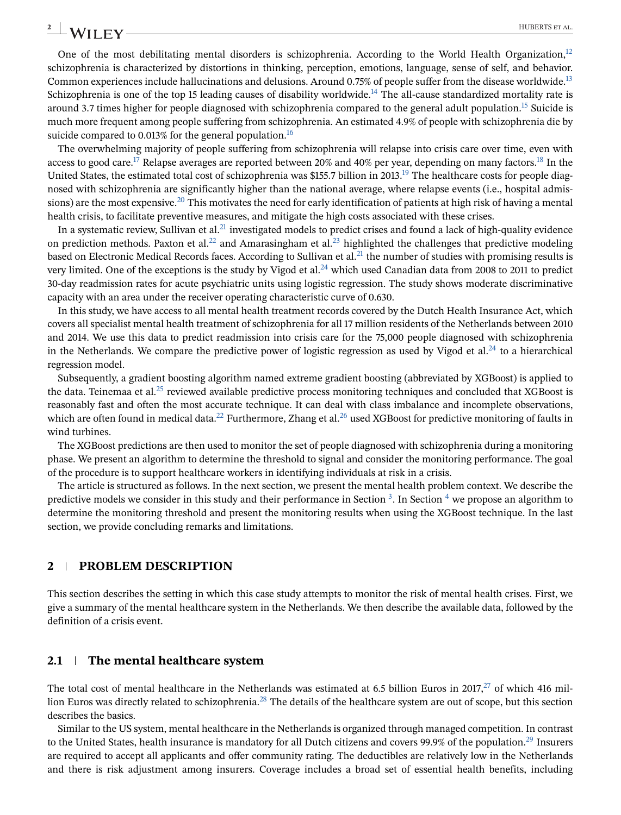# One of the most debilitating mental disorders is schizophrenia. According to the World Health Organization, $12$ schizophrenia is characterized by distortions in thinking, perception, emotions, language, sense of self, and behavior. Common experiences include hallucinations and delusions. Around 0.75% of people suffer from the disease worldwide.<sup>[13](#page-14-0)</sup> Schizophrenia is one of the top 15 leading causes of disability worldwide.<sup>[14](#page-14-0)</sup> The all-cause standardized mortality rate is around 3.7 times higher for people diagnosed with schizophrenia compared to the general adult population[.15](#page-14-0) Suicide is much more frequent among people suffering from schizophrenia. An estimated 4.9% of people with schizophrenia die by suicide compared to 0.013% for the general population.<sup>16</sup>

The overwhelming majority of people suffering from schizophrenia will relapse into crisis care over time, even with access to good care.<sup>17</sup> Relapse averages are reported between 20% and 40% per year, depending on many factors.<sup>18</sup> In the United States, the estimated total cost of schizophrenia was \$155.7 billion in 2013.<sup>19</sup> The healthcare costs for people diagnosed with schizophrenia are significantly higher than the national average, where relapse events (i.e., hospital admissions) are the most expensive.<sup>20</sup> This motivates the need for early identification of patients at high risk of having a mental health crisis, to facilitate preventive measures, and mitigate the high costs associated with these crises.

In a systematic review, Sullivan et al.<sup>21</sup> investigated models to predict crises and found a lack of high-quality evidence on prediction methods. Paxton et al.<sup>22</sup> and Amarasingham et al.<sup>[23](#page-14-0)</sup> highlighted the challenges that predictive modeling based on Electronic Medical Records faces. According to Sullivan et al.<sup>[21](#page-14-0)</sup> the number of studies with promising results is very limited. One of the exceptions is the study by Vigod et al.<sup>24</sup> which used Canadian data from 2008 to 2011 to predict 30-day readmission rates for acute psychiatric units using logistic regression. The study shows moderate discriminative capacity with an area under the receiver operating characteristic curve of 0.630.

In this study, we have access to all mental health treatment records covered by the Dutch Health Insurance Act, which covers all specialist mental health treatment of schizophrenia for all 17 million residents of the Netherlands between 2010 and 2014. We use this data to predict readmission into crisis care for the 75,000 people diagnosed with schizophrenia in the Netherlands. We compare the predictive power of logistic regression as used by Vigod et al. $^{24}$  to a hierarchical regression model.

Subsequently, a gradient boosting algorithm named extreme gradient boosting (abbreviated by XGBoost) is applied to the data. Teinemaa et al.<sup>[25](#page-14-0)</sup> reviewed available predictive process monitoring techniques and concluded that XGBoost is reasonably fast and often the most accurate technique. It can deal with class imbalance and incomplete observations, which are often found in medical data.<sup>22</sup> Furthermore, Zhang et al.<sup>[26](#page-14-0)</sup> used XGBoost for predictive monitoring of faults in wind turbines.

The XGBoost predictions are then used to monitor the set of people diagnosed with schizophrenia during a monitoring phase. We present an algorithm to determine the threshold to signal and consider the monitoring performance. The goal of the procedure is to support healthcare workers in identifying individuals at risk in a crisis.

The article is structured as follows. In the next section, we present the mental health problem context. We describe the predictive models we consider in this study and their performance in Section  $3$ [.](#page-5-0) In Section  $4$  we propose an algorithm to determine the monitoring threshold and present the monitoring results when using the XGBoost technique. In the last section, we provide concluding remarks and limitations.

# **2 PROBLEM DESCRIPTION**

This section describes the setting in which this case study attempts to monitor the risk of mental health crises. First, we give a summary of the mental healthcare system in the Netherlands. We then describe the available data, followed by the definition of a crisis event.

# **2.1 The mental healthcare system**

The total cost of mental healthcare in the Netherlands was estimated at 6.5 billion Euros in 2017, $^{27}$  $^{27}$  $^{27}$  of which 416 million Euros was directly related to schizophrenia[.28](#page-14-0) The details of the healthcare system are out of scope, but this section describes the basics.

Similar to the US system, mental healthcare in the Netherlands is organized through managed competition. In contrast to the United States, health insurance is mandatory for all Dutch citizens and covers 99.9% of the population.<sup>[29](#page-14-0)</sup> Insurers are required to accept all applicants and offer community rating. The deductibles are relatively low in the Netherlands and there is risk adjustment among insurers. Coverage includes a broad set of essential health benefits, including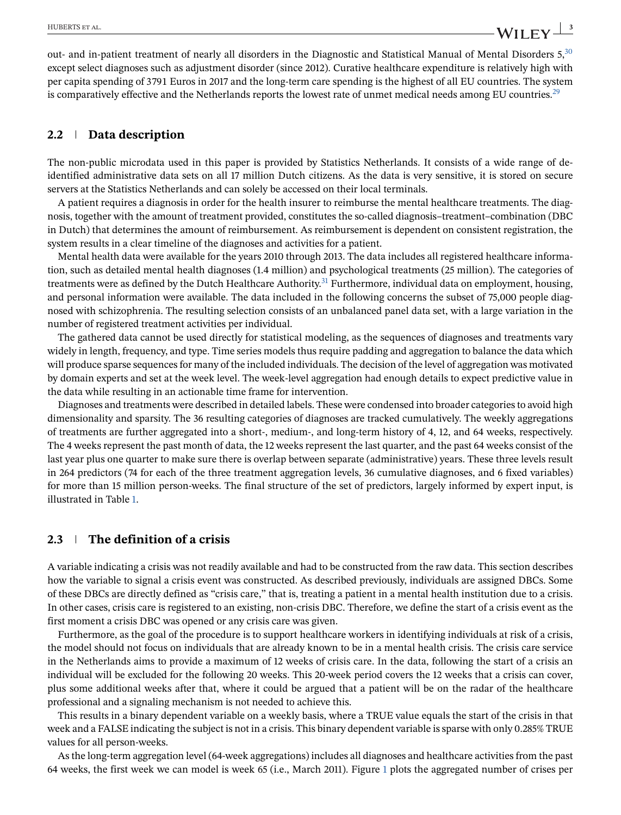<span id="page-2-0"></span>out- and in-patient treatment of nearly all disorders in the Diagnostic and Statistical Manual of Mental Disorders 5,[30](#page-14-0) except select diagnoses such as adjustment disorder (since 2012). Curative healthcare expenditure is relatively high with per capita spending of 3791 Euros in 2017 and the long-term care spending is the highest of all EU countries. The system is comparatively effective and the Netherlands reports the lowest rate of unmet medical needs among EU countries.<sup>29</sup>

### **2.2 Data description**

The non-public microdata used in this paper is provided by Statistics Netherlands. It consists of a wide range of deidentified administrative data sets on all 17 million Dutch citizens. As the data is very sensitive, it is stored on secure servers at the Statistics Netherlands and can solely be accessed on their local terminals.

A patient requires a diagnosis in order for the health insurer to reimburse the mental healthcare treatments. The diagnosis, together with the amount of treatment provided, constitutes the so-called diagnosis–treatment–combination (DBC in Dutch) that determines the amount of reimbursement. As reimbursement is dependent on consistent registration, the system results in a clear timeline of the diagnoses and activities for a patient.

Mental health data were available for the years 2010 through 2013. The data includes all registered healthcare information, such as detailed mental health diagnoses (1.4 million) and psychological treatments (25 million). The categories of treatments were as defined by the Dutch Healthcare Authority.<sup>[31](#page-15-0)</sup> Furthermore, individual data on employment, housing, and personal information were available. The data included in the following concerns the subset of 75,000 people diagnosed with schizophrenia. The resulting selection consists of an unbalanced panel data set, with a large variation in the number of registered treatment activities per individual.

The gathered data cannot be used directly for statistical modeling, as the sequences of diagnoses and treatments vary widely in length, frequency, and type. Time series models thus require padding and aggregation to balance the data which will produce sparse sequences for many of the included individuals. The decision of the level of aggregation was motivated by domain experts and set at the week level. The week-level aggregation had enough details to expect predictive value in the data while resulting in an actionable time frame for intervention.

Diagnoses and treatments were described in detailed labels. These were condensed into broader categories to avoid high dimensionality and sparsity. The 36 resulting categories of diagnoses are tracked cumulatively. The weekly aggregations of treatments are further aggregated into a short-, medium-, and long-term history of 4, 12, and 64 weeks, respectively. The 4 weeks represent the past month of data, the 12 weeks represent the last quarter, and the past 64 weeks consist of the last year plus one quarter to make sure there is overlap between separate (administrative) years. These three levels result in 264 predictors (74 for each of the three treatment aggregation levels, 36 cumulative diagnoses, and 6 fixed variables) for more than 15 million person-weeks. The final structure of the set of predictors, largely informed by expert input, is illustrated in Table [1.](#page-3-0)

# **2.3 The definition of a crisis**

A variable indicating a crisis was not readily available and had to be constructed from the raw data. This section describes how the variable to signal a crisis event was constructed. As described previously, individuals are assigned DBCs. Some of these DBCs are directly defined as "crisis care," that is, treating a patient in a mental health institution due to a crisis. In other cases, crisis care is registered to an existing, non-crisis DBC. Therefore, we define the start of a crisis event as the first moment a crisis DBC was opened or any crisis care was given.

Furthermore, as the goal of the procedure is to support healthcare workers in identifying individuals at risk of a crisis, the model should not focus on individuals that are already known to be in a mental health crisis. The crisis care service in the Netherlands aims to provide a maximum of 12 weeks of crisis care. In the data, following the start of a crisis an individual will be excluded for the following 20 weeks. This 20-week period covers the 12 weeks that a crisis can cover, plus some additional weeks after that, where it could be argued that a patient will be on the radar of the healthcare professional and a signaling mechanism is not needed to achieve this.

This results in a binary dependent variable on a weekly basis, where a TRUE value equals the start of the crisis in that week and a FALSE indicating the subject is not in a crisis. This binary dependent variable is sparse with only 0.285% TRUE values for all person-weeks.

As the long-term aggregation level (64-week aggregations) includes all diagnoses and healthcare activities from the past 64 weeks, the first week we can model is week 65 (i.e., March 2011). Figure [1](#page-4-0) plots the aggregated number of crises per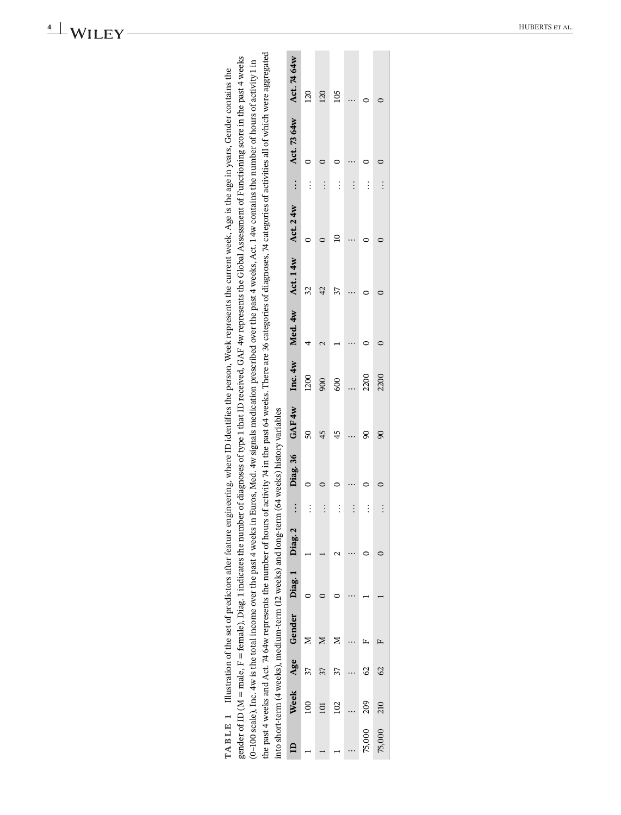|                                                                                                                                                                                                                                                                                                                                                                                                                                                                                                                                                                                                                                                                                                                                                                                                 | Act. 74 64w                   | $\overline{20}$ | 120            | 105      |          |          |        |
|-------------------------------------------------------------------------------------------------------------------------------------------------------------------------------------------------------------------------------------------------------------------------------------------------------------------------------------------------------------------------------------------------------------------------------------------------------------------------------------------------------------------------------------------------------------------------------------------------------------------------------------------------------------------------------------------------------------------------------------------------------------------------------------------------|-------------------------------|-----------------|----------------|----------|----------|----------|--------|
|                                                                                                                                                                                                                                                                                                                                                                                                                                                                                                                                                                                                                                                                                                                                                                                                 | Act. 73 64w                   |                 |                |          |          |          |        |
|                                                                                                                                                                                                                                                                                                                                                                                                                                                                                                                                                                                                                                                                                                                                                                                                 |                               |                 |                |          |          |          |        |
|                                                                                                                                                                                                                                                                                                                                                                                                                                                                                                                                                                                                                                                                                                                                                                                                 | $\vdots$                      | $\vdots$        | $\vdots$       | $\vdots$ | $\vdots$ | $\vdots$ |        |
|                                                                                                                                                                                                                                                                                                                                                                                                                                                                                                                                                                                                                                                                                                                                                                                                 | Act. 24w                      |                 |                |          |          |          |        |
|                                                                                                                                                                                                                                                                                                                                                                                                                                                                                                                                                                                                                                                                                                                                                                                                 | Act. 14w                      | 32              | $\overline{4}$ | 37       |          |          |        |
|                                                                                                                                                                                                                                                                                                                                                                                                                                                                                                                                                                                                                                                                                                                                                                                                 | Med. 4w                       |                 |                |          |          |          |        |
| he past 4 weeks and Act. 74 64w represents the number of hours of activity 74 in the past 64 weeks. There are 36 categories of diagnoses, 74 categories of activities all of which were aggregated<br>gender of ID (M = male, F = female), Diag. 1 indicates the number of diagnoses of type 1 that ID received, GAF 4w represents the Global Assessment of Functioning score in the past 4 weeks<br>(0-100 scale), Inc. 4w is the total income over the past 4 weeks in Euros, Med. 4w signals medication prescribed over the past 4 weeks, Act. 1 4w contains the number of hours of activity 1 in<br>TABLE 1 Illustration of the set of predictors after feature engineering, where ID identifies the person, Week represents the current week, Age is the age in years, Gender contains the | Inc. 4w                       | 1200            | 900            | 600      |          | 2200     | 2200   |
|                                                                                                                                                                                                                                                                                                                                                                                                                                                                                                                                                                                                                                                                                                                                                                                                 | Diag. 36 GAF 4w               | SO              | 45             | 45       |          | g        |        |
| into short-term (4 weeks), medium-term (12 weeks) and long-term (64 weeks) history variables                                                                                                                                                                                                                                                                                                                                                                                                                                                                                                                                                                                                                                                                                                    |                               |                 |                |          |          |          |        |
|                                                                                                                                                                                                                                                                                                                                                                                                                                                                                                                                                                                                                                                                                                                                                                                                 | $\vdots$                      | $\vdots$        | $\vdots$       | $\vdots$ | $\vdots$ | $\vdots$ |        |
|                                                                                                                                                                                                                                                                                                                                                                                                                                                                                                                                                                                                                                                                                                                                                                                                 |                               |                 |                |          |          |          |        |
|                                                                                                                                                                                                                                                                                                                                                                                                                                                                                                                                                                                                                                                                                                                                                                                                 |                               |                 |                |          |          |          |        |
|                                                                                                                                                                                                                                                                                                                                                                                                                                                                                                                                                                                                                                                                                                                                                                                                 | Week Age Gender Diag.1 Diag.2 |                 |                |          |          |          |        |
|                                                                                                                                                                                                                                                                                                                                                                                                                                                                                                                                                                                                                                                                                                                                                                                                 |                               | 37              | 37             |          |          | S        | 62     |
|                                                                                                                                                                                                                                                                                                                                                                                                                                                                                                                                                                                                                                                                                                                                                                                                 |                               | $^{100}$        | $\Xi$          | 102      |          | 209      | 210    |
|                                                                                                                                                                                                                                                                                                                                                                                                                                                                                                                                                                                                                                                                                                                                                                                                 | $\mathbf{a}$                  |                 |                |          |          | 75,000   | 75,000 |

<span id="page-3-0"></span>**4** WILEY HUBERTS ET AL.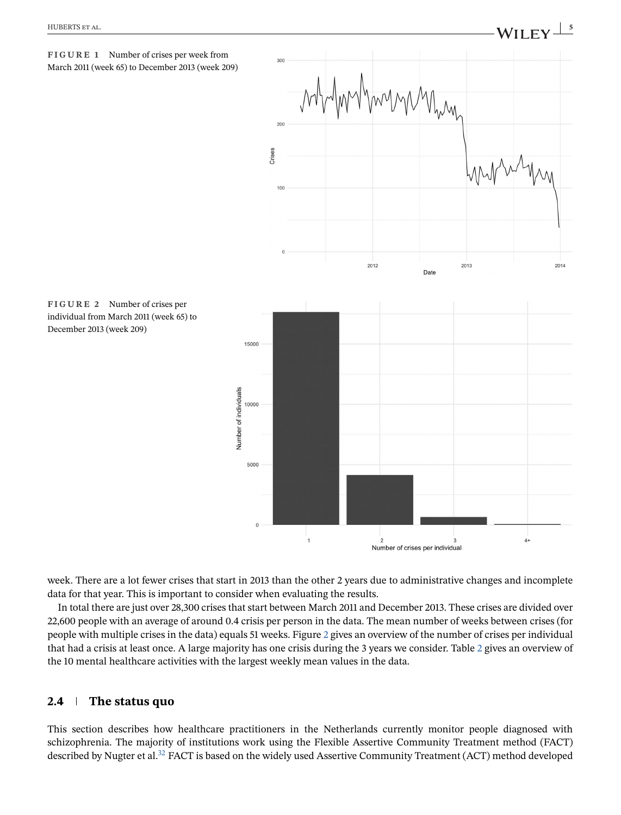

<span id="page-4-0"></span>

individual from March 2011 (week 65) to December 2013 (week 209)

**FIGURE 2** Number of crises per

week. There are a lot fewer crises that start in 2013 than the other 2 years due to administrative changes and incomplete data for that year. This is important to consider when evaluating the results.

Number of individuals

In total there are just over 28,300 crises that start between March 2011 and December 2013. These crises are divided over 22,600 people with an average of around 0.4 crisis per person in the data. The mean number of weeks between crises (for people with multiple crises in the data) equals 51 weeks. Figure 2 gives an overview of the number of crises per individual that had a crisis at least once. A large majority has one crisis during the 3 years we consider. Table [2](#page-5-0) gives an overview of the 10 mental healthcare activities with the largest weekly mean values in the data.

# **2.4 The status quo**

This section describes how healthcare practitioners in the Netherlands currently monitor people diagnosed with schizophrenia. The majority of institutions work using the Flexible Assertive Community Treatment method (FACT) described by Nugter et al.<sup>32</sup> FACT is based on the widely used Assertive Community Treatment (ACT) method developed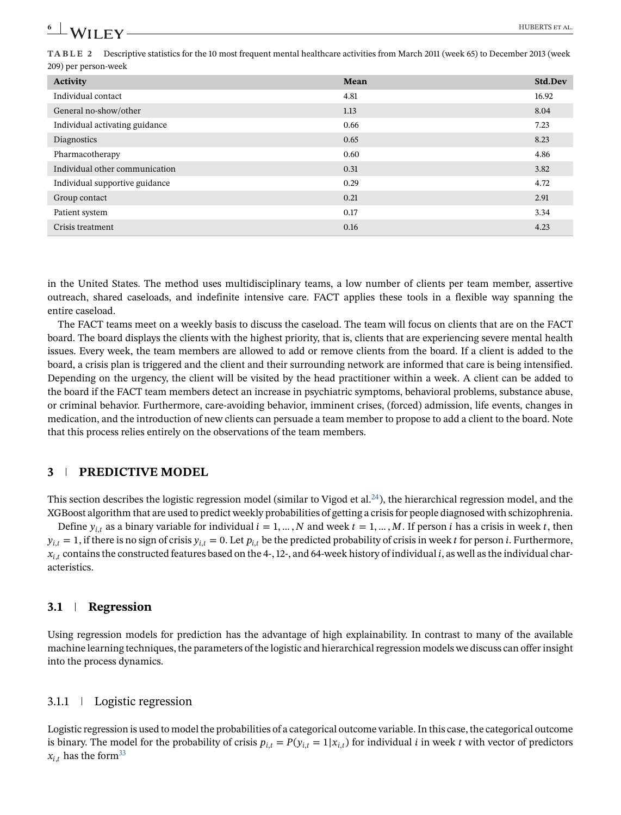<span id="page-5-0"></span>**TABLE 2** Descriptive statistics for the 10 most frequent mental healthcare activities from March 2011 (week 65) to December 2013 (week 209) per person-week

| Activity                       | Mean | <b>Std.Dev</b> |
|--------------------------------|------|----------------|
| Individual contact             | 4.81 | 16.92          |
| General no-show/other          | 1.13 | 8.04           |
| Individual activating guidance | 0.66 | 7.23           |
| Diagnostics                    | 0.65 | 8.23           |
| Pharmacotherapy                | 0.60 | 4.86           |
| Individual other communication | 0.31 | 3.82           |
| Individual supportive guidance | 0.29 | 4.72           |
| Group contact                  | 0.21 | 2.91           |
| Patient system                 | 0.17 | 3.34           |
| Crisis treatment               | 0.16 | 4.23           |

in the United States. The method uses multidisciplinary teams, a low number of clients per team member, assertive outreach, shared caseloads, and indefinite intensive care. FACT applies these tools in a flexible way spanning the entire caseload.

The FACT teams meet on a weekly basis to discuss the caseload. The team will focus on clients that are on the FACT board. The board displays the clients with the highest priority, that is, clients that are experiencing severe mental health issues. Every week, the team members are allowed to add or remove clients from the board. If a client is added to the board, a crisis plan is triggered and the client and their surrounding network are informed that care is being intensified. Depending on the urgency, the client will be visited by the head practitioner within a week. A client can be added to the board if the FACT team members detect an increase in psychiatric symptoms, behavioral problems, substance abuse, or criminal behavior. Furthermore, care-avoiding behavior, imminent crises, (forced) admission, life events, changes in medication, and the introduction of new clients can persuade a team member to propose to add a client to the board. Note that this process relies entirely on the observations of the team members.

# **3 PREDICTIVE MODEL**

This section describes the logistic regression model (similar to Vigod et al.<sup>24</sup>), the hierarchical regression model, and the XGBoost algorithm that are used to predict weekly probabilities of getting a crisis for people diagnosed with schizophrenia.

Define  $y_{i,t}$  as a binary variable for individual  $i = 1, ..., N$  and week  $t = 1, ..., M$ . If person *i* has a crisis in week *t*, then  $y_{i,t} = 1$ , if there is no sign of crisis  $y_{i,t} = 0$ . Let  $p_{i,t}$  be the predicted probability of crisis in week t for person i. Furthermore,  $x_{i,t}$  contains the constructed features based on the 4-, 12-, and 64-week history of individual i, as well as the individual characteristics.

### **3.1 Regression**

Using regression models for prediction has the advantage of high explainability. In contrast to many of the available machine learning techniques, the parameters of the logistic and hierarchical regression models we discuss can offer insight into the process dynamics.

## 3.1.1 Logistic regression

Logistic regression is used to model the probabilities of a categorical outcome variable. In this case, the categorical outcome is binary. The model for the probability of crisis  $p_{i,t} = P(y_{i,t} = 1|x_{i,t})$  for individual *i* in week *t* with vector of predictors  $x_{i,t}$  has the form<sup>33</sup>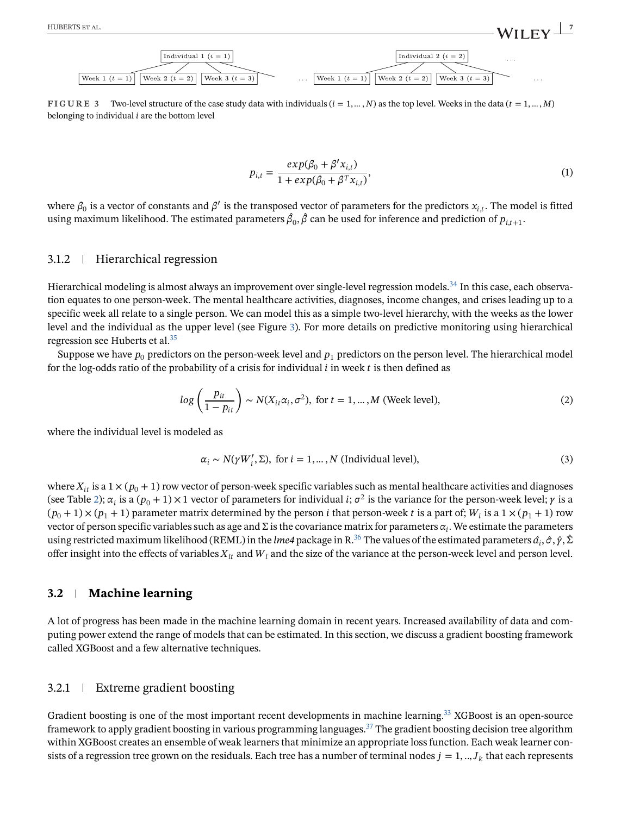**FIGURE 3** Two-level structure of the case study data with individuals  $(i = 1, ..., N)$  as the top level. Weeks in the data  $(t = 1, ..., M)$ belonging to individual  $i$  are the bottom level

$$
p_{i,t} = \frac{exp(\beta_0 + \beta' x_{i,t})}{1 + exp(\beta_0 + \beta^T x_{i,t})},
$$
\n(1)

where  $\beta_0$  is a vector of constants and  $\beta'$  is the transposed vector of parameters for the predictors  $x_{i,t}$ . The model is fitted using maximum likelihood. The estimated parameters  $\beta_0$ ,  $\beta$  can be used for inference and prediction of  $p_{i,t+1}$ .

#### 3.1.2 Hierarchical regression

Hierarchical modeling is almost always an improvement over single-level regression models.<sup>34</sup> In this case, each observation equates to one person-week. The mental healthcare activities, diagnoses, income changes, and crises leading up to a specific week all relate to a single person. We can model this as a simple two-level hierarchy, with the weeks as the lower level and the individual as the upper level (see Figure 3). For more details on predictive monitoring using hierarchical regression see Huberts et al.<sup>35</sup>

Suppose we have  $p_0$  predictors on the person-week level and  $p_1$  predictors on the person level. The hierarchical model for the log-odds ratio of the probability of a crisis for individual  $i$  in week  $t$  is then defined as

$$
log\left(\frac{p_{it}}{1-p_{it}}\right) \sim N(X_{it}\alpha_i, \sigma^2), \text{ for } t = 1, \dots, M \text{ (Week level)},
$$
\n(2)

where the individual level is modeled as

$$
\alpha_i \sim N(\gamma W_i', \Sigma), \text{ for } i = 1, \dots, N \text{ (Individual level)},
$$
\n(3)

where  $X_{it}$  is a 1  $\times$  ( $p_0$  + 1) row vector of person-week specific variables such as mental healthcare activities and diagnoses (see Table [2\)](#page-5-0);  $\alpha_i$  is a  $(p_0 + 1) \times 1$  vector of parameters for individual *i*;  $\sigma^2$  is the variance for the person-week level;  $\gamma$  is a  $(p_0 + 1) \times (p_1 + 1)$  parameter matrix determined by the person *i* that person-week *t* is a part of;  $W_i$  is a  $1 \times (p_1 + 1)$  row vector of person specific variables such as age and  $\Sigma$  is the covariance matrix for parameters  $\alpha_i$ . We estimate the parameters using restricted maximum likelihood (REML) in the *lme4* package in R<sup>36</sup> The values of the estimated parameters  $\hat{a_i}, \hat{\sigma}, \hat{\gamma}, \hat{\Sigma}$ offer insight into the effects of variables  $X_{it}$  and  $W_i$  and the size of the variance at the person-week level and person level.

#### **3.2 Machine learning**

A lot of progress has been made in the machine learning domain in recent years. Increased availability of data and computing power extend the range of models that can be estimated. In this section, we discuss a gradient boosting framework called XGBoost and a few alternative techniques.

#### 3.2.1 Extreme gradient boosting

Gradient boosting is one of the most important recent developments in machine learning.<sup>33</sup> XGBoost is an open-source framework to apply gradient boosting in various programming languages.<sup>37</sup> The gradient boosting decision tree algorithm within XGBoost creates an ensemble of weak learners that minimize an appropriate loss function. Each weak learner consists of a regression tree grown on the residuals. Each tree has a number of terminal nodes  $j = 1,..,J_k$  that each represents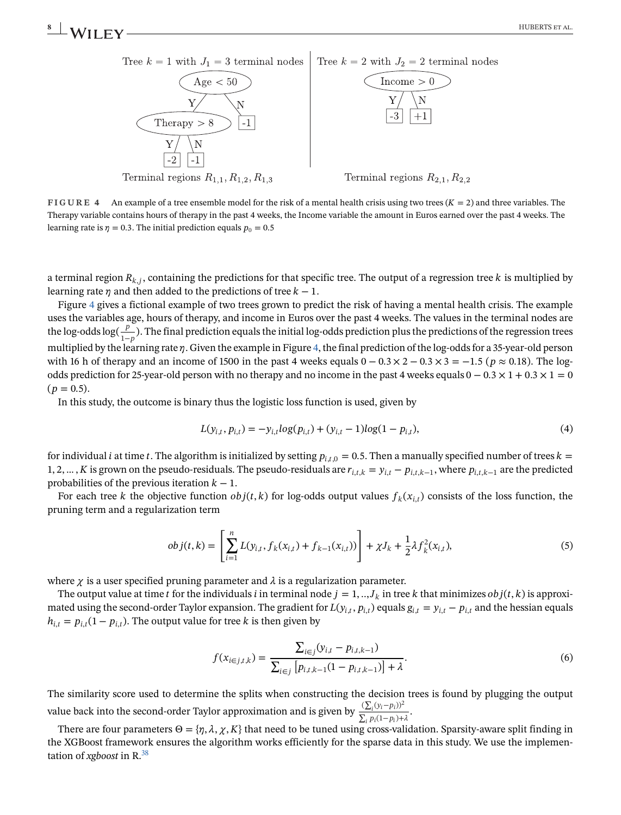

**FIGURE 4** An example of a tree ensemble model for the risk of a mental health crisis using two trees  $(K = 2)$  and three variables. The Therapy variable contains hours of therapy in the past 4 weeks, the Income variable the amount in Euros earned over the past 4 weeks. The learning rate is  $\eta = 0.3$ . The initial prediction equals  $p_0 = 0.5$ 

a terminal region  $R_{k,j}$ , containing the predictions for that specific tree. The output of a regression tree k is multiplied by learning rate  $\eta$  and then added to the predictions of tree  $k - 1$ .

Figure 4 gives a fictional example of two trees grown to predict the risk of having a mental health crisis. The example uses the variables age, hours of therapy, and income in Euros over the past 4 weeks. The values in the terminal nodes are the log-odds log( $\frac{P}{1-p}$ ). The final prediction equals the initial log-odds prediction plus the predictions of the regression trees<br>multiplied by the learning rate n. Given the example in Figure 4, the final prediction multiplied by the learning rate  $\eta$ . Given the example in Figure 4, the final prediction of the log-odds for a 35-year-old person with 16 h of therapy and an income of 1500 in the past 4 weeks equals  $0 - 0.3 \times 2 - 0.3 \times 3 = -1.5$  ( $p \approx 0.18$ ). The logodds prediction for 25-year-old person with no therapy and no income in the past 4 weeks equals  $0 - 0.3 \times 1 + 0.3 \times 1 = 0$  $(p = 0.5)$ .

In this study, the outcome is binary thus the logistic loss function is used, given by

$$
L(y_{i,t}, p_{i,t}) = -y_{i,t} \log(p_{i,t}) + (y_{i,t} - 1) \log(1 - p_{i,t}),
$$
\n(4)

for individual *i* at time *t*. The algorithm is initialized by setting  $p_{i,t,0} = 0.5$ . Then a manually specified number of trees  $k =$ 1, 2, …, K is grown on the pseudo-residuals. The pseudo-residuals are  $r_{i,t,k} = y_{i,t} - p_{i,t,k-1}$ , where  $p_{i,t,k-1}$  are the predicted probabilities of the previous iteration  $k-1$ .

For each tree k the objective function  $obj(t, k)$  for log-odds output values  $f_k(x_{i,t})$  consists of the loss function, the pruning term and a regularization term

$$
obj(t,k) = \left[\sum_{i=1}^{n} L(y_{i,t}, f_k(x_{i,t}) + f_{k-1}(x_{i,t}))\right] + \chi J_k + \frac{1}{2}\lambda f_k^2(x_{i,t}),
$$
\n(5)

where  $\chi$  is a user specified pruning parameter and  $\lambda$  is a regularization parameter.

The output value at time t for the individuals i in terminal node  $j = 1, ..., J_k$  in tree k that minimizes  $obj(t, k)$  is approximated using the second-order Taylor expansion. The gradient for  $L(y_{i,t}, p_{i,t})$  equals  $g_{i,t} = y_{i,t} - p_{i,t}$  and the hessian equals  $h_{i,t} = p_{i,t}(1 - p_{i,t})$ . The output value for tree k is then given by

$$
f(x_{i \in j,t,k}) = \frac{\sum_{i \in j} (y_{i,t} - p_{i,t,k-1})}{\sum_{i \in j} [p_{i,t,k-1}(1 - p_{i,t,k-1})] + \lambda}.
$$
\n(6)

The similarity score used to determine the splits when constructing the decision trees is found by plugging the output value back into the second-order Taylor approximation and is given by  $\frac{\sqrt{\Sigma}}{\Sigma}$  $\frac{(\sum_i (y_i - p_i))}{\sum_i p_i (1 - p_i) + \lambda}$ 

There are four parameters  $\Theta = \{\eta, \lambda, \chi, K\}$  that need to be tuned using cross-validation. Sparsity-aware split finding in the XGBoost framework ensures the algorithm works efficiently for the sparse data in this study. We use the implementation of *xgboost* in R[.38](#page-15-0)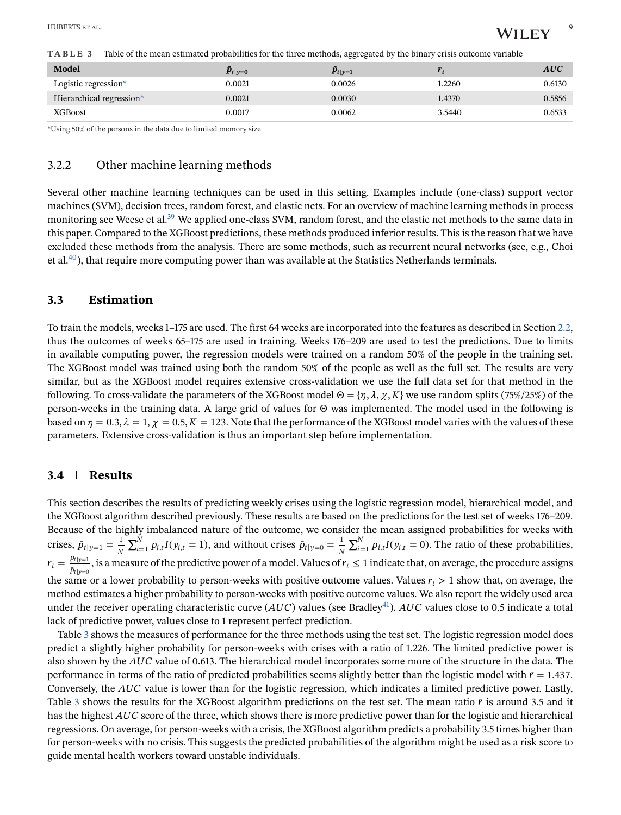**TABLE 3** Table of the mean estimated probabilities for the three methods, aggregated by the binary crisis outcome variable

| Model                    | $p_{t v=0}$ | $p_{t v=1}$ |        | <b>AUC</b> |
|--------------------------|-------------|-------------|--------|------------|
| Logistic regression*     | 0.0021      | 0.0026      | 1.2260 | 0.6130     |
| Hierarchical regression* | 0.0021      | 0.0030      | 1.4370 | 0.5856     |
| <b>XGBoost</b>           | 0.0017      | 0.0062      | 3.5440 | 0.6533     |

\*Using 50% of the persons in the data due to limited memory size

### 3.2.2 Other machine learning methods

Several other machine learning techniques can be used in this setting. Examples include (one-class) support vector machines (SVM), decision trees, random forest, and elastic nets. For an overview of machine learning methods in process monitoring see Weese et al.<sup>[39](#page-15-0)</sup> We applied one-class SVM, random forest, and the elastic net methods to the same data in this paper. Compared to the XGBoost predictions, these methods produced inferior results. This is the reason that we have excluded these methods from the analysis. There are some methods, such as recurrent neural networks (see, e.g., Choi et al.<sup>40</sup>), that require more computing power than was available at the Statistics Netherlands terminals.

## **3.3 Estimation**

To train the models, weeks 1–175 are used. The first 64 weeks are incorporated into the features as described in Section [2.2,](#page-2-0) thus the outcomes of weeks 65–175 are used in training. Weeks 176–209 are used to test the predictions. Due to limits in available computing power, the regression models were trained on a random 50% of the people in the training set. The XGBoost model was trained using both the random 50% of the people as well as the full set. The results are very similar, but as the XGBoost model requires extensive cross-validation we use the full data set for that method in the following. To cross-validate the parameters of the XGBoost model  $\Theta = \{\eta, \lambda, \chi, K\}$  we use random splits (75%/25%) of the person-weeks in the training data. A large grid of values for Θ was implemented. The model used in the following is based on  $\eta = 0.3$ ,  $\lambda = 1$ ,  $\chi = 0.5$ ,  $K = 123$ . Note that the performance of the XGBoost model varies with the values of these parameters. Extensive cross-validation is thus an important step before implementation.

# **3.4 Results**

This section describes the results of predicting weekly crises using the logistic regression model, hierarchical model, and the XGBoost algorithm described previously. These results are based on the predictions for the test set of weeks 176–209. Because of the highly imbalanced nature of the outcome, we consider the mean assigned probabilities for weeks with crises,  $\bar{p}_{t|y=1} = \frac{1}{N}$  $\sum_{i=1}^{N} p_{i,t} I(y_{i,t} = 1)$ , and without crises  $\bar{p}_{t|y=0} = \frac{1}{N}$  $\sum_{i=1}^{N} p_{i,t} I(y_{i,t} = 0)$ . The ratio of these probabilities,  $r_t = \frac{p_t|y_t|}{\bar{p}_{t|y=0}}$ , is a measure of the predictive power of a model. Values of  $r_t \le 1$  indicate that, on average, the procedure assigns the same or a lower probability to person-weeks with positive outcome values. Values  $r_t > 1$  show that, on average, the mothod estimates a higher probability to person weeks with positive outcome values. We also report th method estimates a higher probability to person-weeks with positive outcome values. We also report the widely used area under the receiver operating characteristic curve ( $AUC$ ) values (see Bradley<sup>41</sup>).  $AUC$  values close to 0.5 indicate a total lack of predictive power, values close to 1 represent perfect prediction.

Table 3 shows the measures of performance for the three methods using the test set. The logistic regression model does predict a slightly higher probability for person-weeks with crises with a ratio of 1.226. The limited predictive power is also shown by the  $AUC$  value of 0.613. The hierarchical model incorporates some more of the structure in the data. The performance in terms of the ratio of predicted probabilities seems slightly better than the logistic model with  $\bar{r} = 1.437$ . Conversely, the  $AUC$  value is lower than for the logistic regression, which indicates a limited predictive power. Lastly, Table 3 shows the results for the XGBoost algorithm predictions on the test set. The mean ratio  $\bar{r}$  is around 3.5 and it has the highest AUC score of the three, which shows there is more predictive power than for the logistic and hierarchical regressions. On average, for person-weeks with a crisis, the XGBoost algorithm predicts a probability 3.5 times higher than for person-weeks with no crisis. This suggests the predicted probabilities of the algorithm might be used as a risk score to guide mental health workers toward unstable individuals.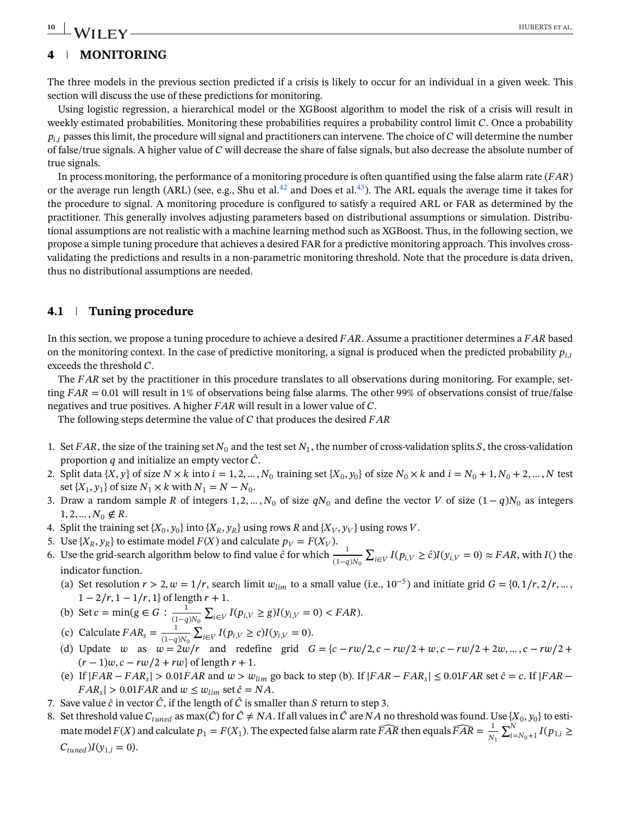# <span id="page-9-0"></span> $-$  **W I** I  $F$  **V**  $-$  **100 HUBERTS** et al.

# **4 MONITORING**

The three models in the previous section predicted if a crisis is likely to occur for an individual in a given week. This section will discuss the use of these predictions for monitoring.

Using logistic regression, a hierarchical model or the XGBoost algorithm to model the risk of a crisis will result in weekly estimated probabilities. Monitoring these probabilities requires a probability control limit  $C$ . Once a probability  $p_{i,t}$  passes this limit, the procedure will signal and practitioners can intervene. The choice of C will determine the number of false/true signals. A higher value of  $C$  will decrease the share of false signals, but also decrease the absolute number of true signals.

In process monitoring, the performance of a monitoring procedure is often quantified using the false alarm rate  $(FAR)$ or the average run length (ARL) (see, e.g., Shu et al.<sup>42</sup> and Does et al.<sup>43</sup>). The ARL equals the average time it takes for the procedure to signal. A monitoring procedure is configured to satisfy a required ARL or FAR as determined by the practitioner. This generally involves adjusting parameters based on distributional assumptions or simulation. Distributional assumptions are not realistic with a machine learning method such as XGBoost. Thus, in the following section, we propose a simple tuning procedure that achieves a desired FAR for a predictive monitoring approach. This involves crossvalidating the predictions and results in a non-parametric monitoring threshold. Note that the procedure is data driven, thus no distributional assumptions are needed.

# **4.1 Tuning procedure**

In this section, we propose a tuning procedure to achieve a desired  $FAR$ . Assume a practitioner determines a  $FAR$  based on the monitoring context. In the case of predictive monitoring, a signal is produced when the predicted probability  $p_{i,t}$ exceeds the threshold  $C$ .

The  $FAR$  set by the practitioner in this procedure translates to all observations during monitoring. For example, setting  $FAR = 0.01$  will result in 1% of observations being false alarms. The other 99% of observations consist of true/false negatives and true positives. A higher  $FAR$  will result in a lower value of  $C$ .

The following steps determine the value of  $C$  that produces the desired  $FAR$ 

- 1. Set FAR, the size of the training set  $N_0$  and the test set  $N_1$ , the number of cross-validation splits S, the cross-validation proportion q and initialize an empty vector  $\hat{C}$ .
- 2. Split data  $\{X, y\}$  of size  $N \times k$  into  $i = 1, 2, ..., N_0$  training set  $\{X_0, y_0\}$  of size  $N_0 \times k$  and  $i = N_0 + 1, N_0 + 2, ..., N$  test set { $X_1, y_1$ } of size  $N_1 \times k$  with  $N_1 = N - N_0$ .
- 3. Draw a random sample R of integers 1, 2, …,  $N_0$  of size  $qN_0$  and define the vector V of size  $(1 q)N_0$  as integers
- 1, 2, ...,  $N_0 \notin R$ .<br>4. Split the training set  $\{X_0, y_0\}$  into  $\{X_R, y_R\}$  using rows R and  $\{X_V, y_V\}$  using rows V. 4. Split the training set  $\{X_0, y_0\}$  into  $\{X_R, y_R\}$  using rows R and  $\{X_V, y_V\}$  using rows V.
- 5. Use  $\{X_R, y_R\}$  to estimate model  $F(X)$  and calculate  $p_V = F(X_V)$ .
- 6. Use the grid-search algorithm below to find value  $\hat{c}$  for which  $\frac{1}{(1-q)N_0}$  indicator function  $\sum_{i \in V} I(p_{i,V} \ge \hat{c}) I(y_{i,V} = 0) \approx FAR$ , with  $I()$  the indicator function.
	- (a) Set resolution  $r > 2$ ,  $w = 1/r$ , search limit  $w_{lim}$  to a small value (i.e., 10<sup>-5</sup>) and initiate grid  $G = \{0, 1/r, 2/r, \dots,$  $1 - 2/r$ ,  $1 - 1/r$ ,  $1$ } of length  $r + 1$ .

(b) Set 
$$
c = \min(g \in G : \frac{1}{(1-q)N_0} \sum_{i \in V} I(p_{i,V} \ge g)I(y_{i,V} = 0) < FAR)
$$
.

- (c) Calculate  $FAR_s = \frac{1}{(1-q)N_0} \sum_{i \in V} I(p_{i,V} \ge c) I(y_{i,V} = 0).$
- (d) Update *w* as  $w = 2w/r$  and redefine grid  $G = \{c rw/2, c rw/2 + w, c rw/2 + 2w, ..., c rw/2 + (r-1)w, c, rw/2 + rw\}$  $(r-1)w, c - rw/2 + rw$  of length  $r +1$ .
- (e) If  $|FAR FAR_s| > 0.01FAR$  and  $w > w_{lim}$  go back to step (b). If  $|FAR FAR_s| \le 0.01FAR$  set  $\hat{c} = c$ . If  $|FAR FAR_s|$  $FAR_s$  > 0.01 $FAR$  and  $w \leq w_{lim}$  set  $\hat{c} = NA$ .
- 7. Save value  $\hat{c}$  in vector  $\hat{C}$ , if the length of  $\hat{C}$  is smaller than S return to step 3.
- 8. Set threshold value  $C_{tuned}$  as max( $\hat{C}$ ) for  $\hat{C} \neq NA$ . If all values in  $\hat{C}$  are  $NA$  no threshold was found. Use  $\{X_0, y_0\}$  to estimate model  $F(X)$  and calculate  $p_1 = F(X_1)$ . The expected false alarm rate  $\widehat{FAR}$  then equals  $\widehat{FAR} = \frac{1}{N_1} \sum_{i=N_0+1}^{N} I(p_{1,i} \geq$  $\mathbf{1}$  $C_{tuned}$ ) $I(y_{1,i} = 0)$ .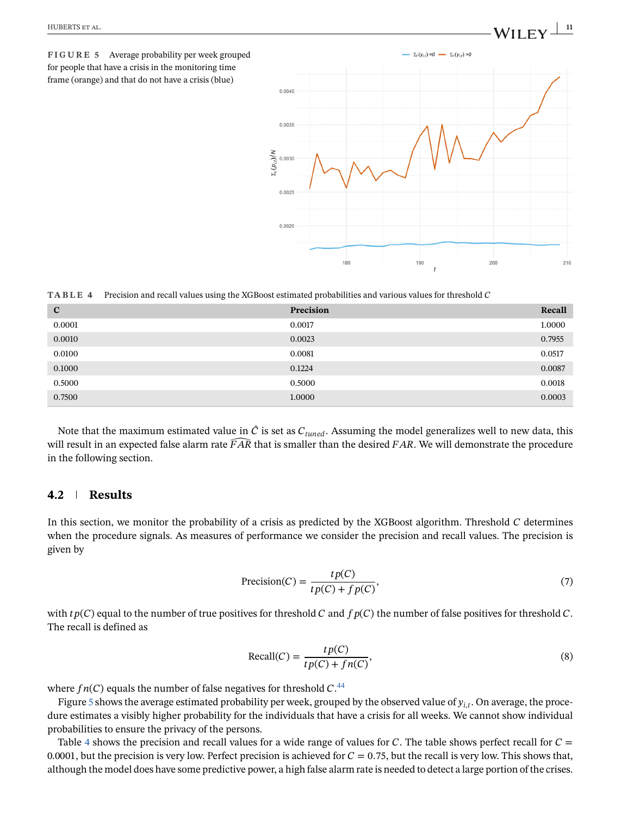<span id="page-10-0"></span>**FIGURE 5** Average probability per week grouped for people that have a crisis in the monitoring time frame (orange) and that do not have a crisis (blue)



**TABLE 4** Precision and recall values using the XGBoost estimated probabilities and various values for threshold

| $\mathbf{C}$ | Precision | Recall |
|--------------|-----------|--------|
| 0.0001       | 0.0017    | 1.0000 |
| 0.0010       | 0.0023    | 0.7955 |
| 0.0100       | 0.0081    | 0.0517 |
| 0.1000       | 0.1224    | 0.0087 |
| 0.5000       | 0.5000    | 0.0018 |
| 0.7500       | 1.0000    | 0.0003 |

Note that the maximum estimated value in  $\hat{C}$  is set as  $C_{tuned}$ . Assuming the model generalizes well to new data, this will result in an expected false alarm rate  $\widehat{FAR}$  that is smaller than the desired  $FAR$ . We will demonstrate the procedure in the following section.

## **4.2 Results**

In this section, we monitor the probability of a crisis as predicted by the XGBoost algorithm. Threshold  $C$  determines when the procedure signals. As measures of performance we consider the precision and recall values. The precision is given by

$$
\text{Precision}(C) = \frac{tp(C)}{tp(C) + fp(C)},\tag{7}
$$

with  $tp(C)$  equal to the number of true positives for threshold C and  $fp(C)$  the number of false positives for threshold C. The recall is defined as

$$
Recall(C) = \frac{tp(C)}{tp(C) + fn(C)},
$$
\n(8)

where  $fn(C)$  equals the number of false negatives for threshold  $C^{44}$  $C^{44}$  $C^{44}$ .<br>Figure 5 shows the system estimated probability per week, groups

Figure 5 shows the average estimated probability per week, grouped by the observed value of  $y_{i,t}$ . On average, the procedure estimates a visibly higher probability for the individuals that have a crisis for all weeks. We cannot show individual probabilities to ensure the privacy of the persons.

Table 4 shows the precision and recall values for a wide range of values for C. The table shows perfect recall for  $C =$ 0.0001, but the precision is very low. Perfect precision is achieved for  $C = 0.75$ , but the recall is very low. This shows that, although the model does have some predictive power, a high false alarm rate is needed to detect a large portion of the crises.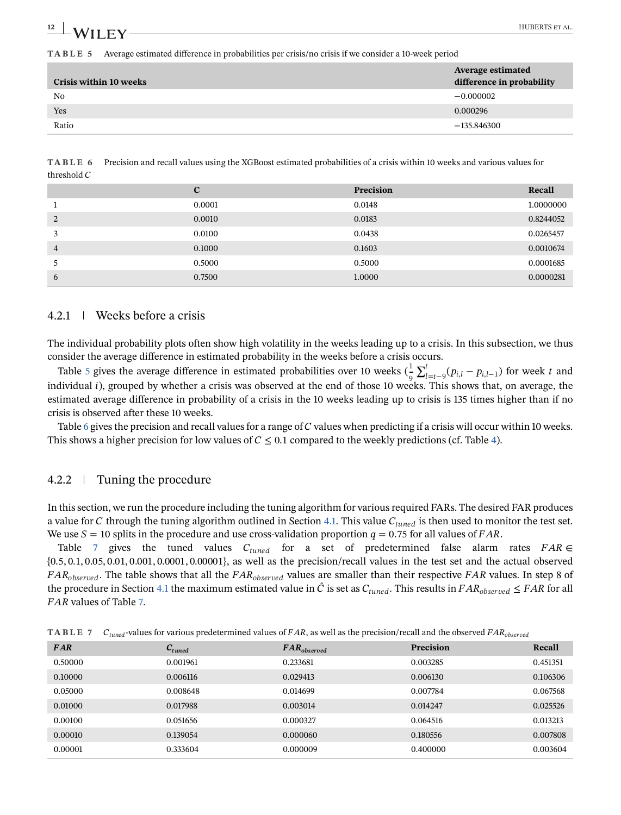<span id="page-11-0"></span>**TABLE 5** Average estimated difference in probabilities per crisis/no crisis if we consider a 10-week period

| <b>Crisis within 10 weeks</b> | <b>Average estimated</b><br>difference in probability |
|-------------------------------|-------------------------------------------------------|
| N <sub>0</sub>                | $-0.000002$                                           |
| Yes                           | 0.000296                                              |
| Ratio                         | $-135.846300$                                         |
|                               |                                                       |

**TABLE 6** Precision and recall values using the XGBoost estimated probabilities of a crisis within 10 weeks and various values for threshold  $C$ 

|                | $\mathbf{C}$ | Precision | Recall    |
|----------------|--------------|-----------|-----------|
|                | 0.0001       | 0.0148    | 1.0000000 |
| 2              | 0.0010       | 0.0183    | 0.8244052 |
|                | 0.0100       | 0.0438    | 0.0265457 |
| $\overline{4}$ | 0.1000       | 0.1603    | 0.0010674 |
|                | 0.5000       | 0.5000    | 0.0001685 |
| 6              | 0.7500       | 1.0000    | 0.0000281 |

# 4.2.1 Weeks before a crisis

The individual probability plots often show high volatility in the weeks leading up to a crisis. In this subsection, we thus consider the average difference in estimated probability in the weeks before a crisis occurs.

Table 5 gives the average difference in estimated probabilities over 10 weeks  $(\frac{1}{2}\sum_{l=t-9}^{t}(p_{i,l}-p_{i,l-1})$  for week t and<br>dividual i) grouned by whether a crisis was observed at the end of those 10 weeks. This shows th individual *i*), grouped by whether a crisis was observed at the end of those 10 weeks. This shows that, on average, the<br>estimated average difference in probability of a crisis in the 10 weeks leading up to crisis is 125 t estimated average difference in probability of a crisis in the 10 weeks leading up to crisis is 135 times higher than if no crisis is observed after these 10 weeks.

Table 6 gives the precision and recall values for a range of  $C$  values when predicting if a crisis will occur within 10 weeks. This shows a higher precision for low values of  $C \leq 0.1$  compared to the weekly predictions (cf. Table [4\)](#page-10-0).

# 4.2.2 Tuning the procedure

In this section, we run the procedure including the tuning algorithm for various required FARs. The desired FAR produces a value for  $C$  through the tuning algorithm outlined in Section [4.1.](#page-9-0) This value  $C_{tuned}$  is then used to monitor the test set. We use  $S = 10$  splits in the procedure and use cross-validation proportion  $q = 0.75$  for all values of FAR.

Table 7 gives the tuned values  $C_{tuned}$  for a set of predetermined false alarm rates  $FAR \in$ {0.5, 0.1, 0.05, 0.01, 0.001, 0.0001, 0.00001}, as well as the precision/recall values in the test set and the actual observed  $FAR_{observed}$ . The table shows that all the  $FAR_{observed}$  values are smaller than their respective  $FAR$  values. In step 8 of the procedure in Section [4.1](#page-9-0) the maximum estimated value in  $\hat{C}$  is set as  $C_{tuned}$ . This results in  $FAR_{observed} \leq FAR$  for all FAR values of Table 7.

| <b>FAR</b> | $C_{tuned}$ | $FAR_{observed}$ | Precision | Recall   |
|------------|-------------|------------------|-----------|----------|
| 0.50000    | 0.001961    | 0.233681         | 0.003285  | 0.451351 |
| 0.10000    | 0.006116    | 0.029413         | 0.006130  | 0.106306 |
| 0.05000    | 0.008648    | 0.014699         | 0.007784  | 0.067568 |
| 0.01000    | 0.017988    | 0.003014         | 0.014247  | 0.025526 |
| 0.00100    | 0.051656    | 0.000327         | 0.064516  | 0.013213 |
| 0.00010    | 0.139054    | 0.000060         | 0.180556  | 0.007808 |
| 0.00001    | 0.333604    | 0.000009         | 0.400000  | 0.003604 |

**TABLE 7**  $C_{tuned}$ -values for various predetermined values of FAR, as well as the precision/recall and the observed FAR<sub>observed</sub>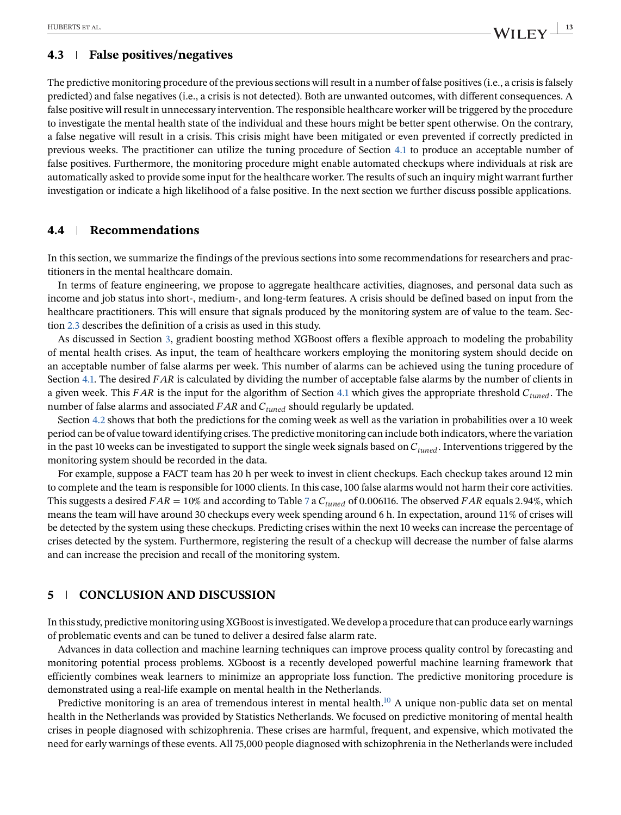### **4.3 False positives/negatives**

The predictive monitoring procedure of the previous sections will result in a number of false positives (i.e., a crisis is falsely predicted) and false negatives (i.e., a crisis is not detected). Both are unwanted outcomes, with different consequences. A false positive will result in unnecessary intervention. The responsible healthcare worker will be triggered by the procedure to investigate the mental health state of the individual and these hours might be better spent otherwise. On the contrary, a false negative will result in a crisis. This crisis might have been mitigated or even prevented if correctly predicted in previous weeks. The practitioner can utilize the tuning procedure of Section [4.1](#page-9-0) to produce an acceptable number of false positives. Furthermore, the monitoring procedure might enable automated checkups where individuals at risk are automatically asked to provide some input for the healthcare worker. The results of such an inquiry might warrant further investigation or indicate a high likelihood of a false positive. In the next section we further discuss possible applications.

# **4.4 Recommendations**

In this section, we summarize the findings of the previous sections into some recommendations for researchers and practitioners in the mental healthcare domain.

In terms of feature engineering, we propose to aggregate healthcare activities, diagnoses, and personal data such as income and job status into short-, medium-, and long-term features. A crisis should be defined based on input from the healthcare practitioners. This will ensure that signals produced by the monitoring system are of value to the team. Section [2.3](#page-2-0) describes the definition of a crisis as used in this study.

As discussed in Section [3,](#page-5-0) gradient boosting method XGBoost offers a flexible approach to modeling the probability of mental health crises. As input, the team of healthcare workers employing the monitoring system should decide on an acceptable number of false alarms per week. This number of alarms can be achieved using the tuning procedure of Section [4.1.](#page-9-0) The desired FAR is calculated by dividing the number of acceptable false alarms by the number of clients in a given week. This FAR is the input for the algorithm of Section [4.1](#page-9-0) which gives the appropriate threshold  $C_{tuned}$ . The number of false alarms and associated  $FAR$  and  $C_{tuned}$  should regularly be updated.

Section [4.2](#page-10-0) shows that both the predictions for the coming week as well as the variation in probabilities over a 10 week period can be of value toward identifying crises. The predictive monitoring can include both indicators, where the variation in the past 10 weeks can be investigated to support the single week signals based on  $C_{tuned}$ . Interventions triggered by the monitoring system should be recorded in the data.

For example, suppose a FACT team has 20 h per week to invest in client checkups. Each checkup takes around 12 min to complete and the team is responsible for 1000 clients. In this case, 100 false alarms would not harm their core activities. This suggests a desired  $FAR = 10\%$  and according to Table [7](#page-11-0) a  $C_{tuned}$  of 0.006116. The observed  $FAR$  equals 2.94%, which means the team will have around 30 checkups every week spending around 6 h. In expectation, around 11% of crises will be detected by the system using these checkups. Predicting crises within the next 10 weeks can increase the percentage of crises detected by the system. Furthermore, registering the result of a checkup will decrease the number of false alarms and can increase the precision and recall of the monitoring system.

## **5 CONCLUSION AND DISCUSSION**

In this study, predictive monitoring using XGBoost is investigated.We develop a procedure that can produce early warnings of problematic events and can be tuned to deliver a desired false alarm rate.

Advances in data collection and machine learning techniques can improve process quality control by forecasting and monitoring potential process problems. XGboost is a recently developed powerful machine learning framework that efficiently combines weak learners to minimize an appropriate loss function. The predictive monitoring procedure is demonstrated using a real-life example on mental health in the Netherlands.

Predictive monitoring is an area of tremendous interest in mental health. $10$  A unique non-public data set on mental health in the Netherlands was provided by Statistics Netherlands. We focused on predictive monitoring of mental health crises in people diagnosed with schizophrenia. These crises are harmful, frequent, and expensive, which motivated the need for early warnings of these events. All 75,000 people diagnosed with schizophrenia in the Netherlands were included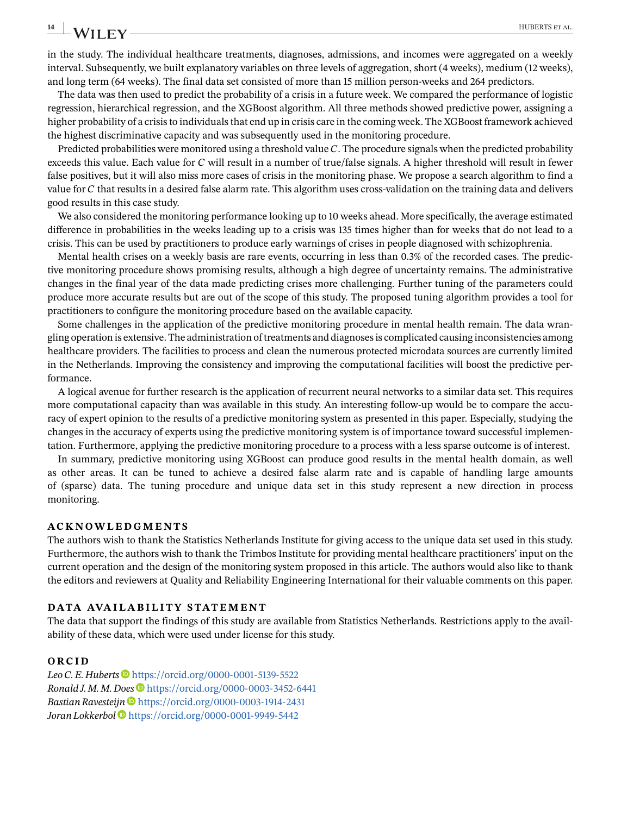# **14 WII FV**

in the study. The individual healthcare treatments, diagnoses, admissions, and incomes were aggregated on a weekly interval. Subsequently, we built explanatory variables on three levels of aggregation, short (4 weeks), medium (12 weeks), and long term (64 weeks). The final data set consisted of more than 15 million person-weeks and 264 predictors.

The data was then used to predict the probability of a crisis in a future week. We compared the performance of logistic regression, hierarchical regression, and the XGBoost algorithm. All three methods showed predictive power, assigning a higher probability of a crisis to individuals that end up in crisis care in the coming week. The XGBoost framework achieved the highest discriminative capacity and was subsequently used in the monitoring procedure.

Predicted probabilities were monitored using a threshold value  $C$ . The procedure signals when the predicted probability exceeds this value. Each value for  $C$  will result in a number of true/false signals. A higher threshold will result in fewer false positives, but it will also miss more cases of crisis in the monitoring phase. We propose a search algorithm to find a value for  $C$  that results in a desired false alarm rate. This algorithm uses cross-validation on the training data and delivers good results in this case study.

We also considered the monitoring performance looking up to 10 weeks ahead. More specifically, the average estimated difference in probabilities in the weeks leading up to a crisis was 135 times higher than for weeks that do not lead to a crisis. This can be used by practitioners to produce early warnings of crises in people diagnosed with schizophrenia.

Mental health crises on a weekly basis are rare events, occurring in less than 0.3% of the recorded cases. The predictive monitoring procedure shows promising results, although a high degree of uncertainty remains. The administrative changes in the final year of the data made predicting crises more challenging. Further tuning of the parameters could produce more accurate results but are out of the scope of this study. The proposed tuning algorithm provides a tool for practitioners to configure the monitoring procedure based on the available capacity.

Some challenges in the application of the predictive monitoring procedure in mental health remain. The data wrangling operation is extensive. The administration of treatments and diagnoses is complicated causing inconsistencies among healthcare providers. The facilities to process and clean the numerous protected microdata sources are currently limited in the Netherlands. Improving the consistency and improving the computational facilities will boost the predictive performance.

A logical avenue for further research is the application of recurrent neural networks to a similar data set. This requires more computational capacity than was available in this study. An interesting follow-up would be to compare the accuracy of expert opinion to the results of a predictive monitoring system as presented in this paper. Especially, studying the changes in the accuracy of experts using the predictive monitoring system is of importance toward successful implementation. Furthermore, applying the predictive monitoring procedure to a process with a less sparse outcome is of interest.

In summary, predictive monitoring using XGBoost can produce good results in the mental health domain, as well as other areas. It can be tuned to achieve a desired false alarm rate and is capable of handling large amounts of (sparse) data. The tuning procedure and unique data set in this study represent a new direction in process monitoring.

#### **ACKNOWLEDGMENTS**

The authors wish to thank the Statistics Netherlands Institute for giving access to the unique data set used in this study. Furthermore, the authors wish to thank the Trimbos Institute for providing mental healthcare practitioners' input on the current operation and the design of the monitoring system proposed in this article. The authors would also like to thank the editors and reviewers at Quality and Reliability Engineering International for their valuable comments on this paper.

#### **DATA AVAILABILITY STATEMENT**

The data that support the findings of this study are available from Statistics Netherlands. Restrictions apply to the availability of these data, which were used under license for this study.

#### **ORCID**

Leo C. E. Huberts<sup>t</sup> <https://orcid.org/0000-0001-5139-5522> *Ronald J. M. M. Does* <https://orcid.org/0000-0003-3452-6441> *Bastian Ravesteijn* <https://orcid.org/0000-0003-1914-2431> *Joran Lokkerbol* <https://orcid.org/0000-0001-9949-5442>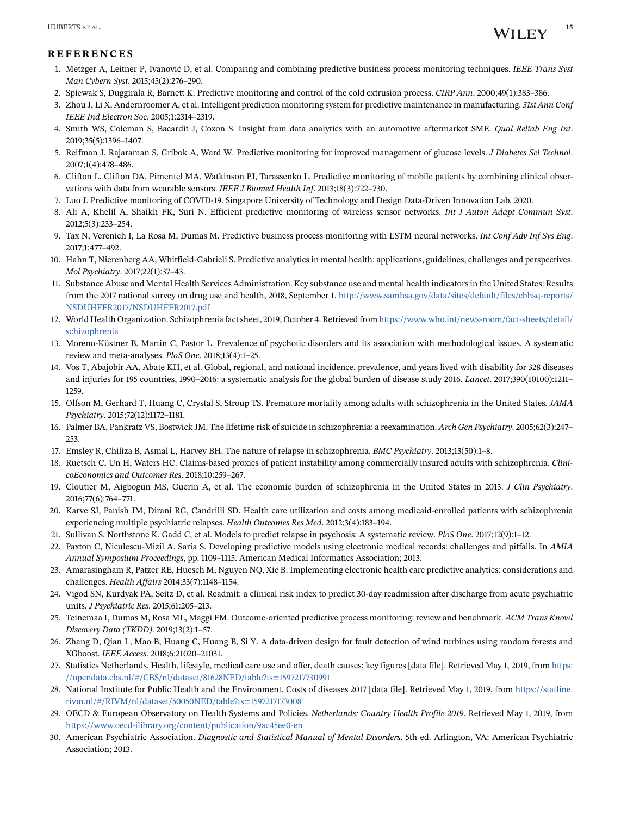#### <span id="page-14-0"></span>**REFERENCES**

- 1. Metzger A, Leitner P, Ivanović D, et al. Comparing and combining predictive business process monitoring techniques. *IEEE Trans Syst Man Cybern Syst*. 2015;45(2):276–290.
- 2. Spiewak S, Duggirala R, Barnett K. Predictive monitoring and control of the cold extrusion process. *CIRP Ann*. 2000;49(1):383–386.
- 3. Zhou J, Li X, Andernroomer A, et al. Intelligent prediction monitoring system for predictive maintenance in manufacturing. *31st Ann Conf IEEE Ind Electron Soc*. 2005;1:2314–2319.
- 4. Smith WS, Coleman S, Bacardit J, Coxon S. Insight from data analytics with an automotive aftermarket SME. *Qual Reliab Eng Int*. 2019;35(5):1396–1407.
- 5. Reifman J, Rajaraman S, Gribok A, Ward W. Predictive monitoring for improved management of glucose levels. *J Diabetes Sci Technol*. 2007;1(4):478–486.
- 6. Clifton L, Clifton DA, Pimentel MA, Watkinson PJ, Tarassenko L. Predictive monitoring of mobile patients by combining clinical observations with data from wearable sensors. *IEEE J Biomed Health Inf*. 2013;18(3):722–730.
- 7. Luo J. Predictive monitoring of COVID-19. Singapore University of Technology and Design Data-Driven Innovation Lab, 2020.
- 8. Ali A, Khelil A, Shaikh FK, Suri N. Efficient predictive monitoring of wireless sensor networks. *Int J Auton Adapt Commun Syst*. 2012;5(3):233–254.
- 9. Tax N, Verenich I, La Rosa M, Dumas M. Predictive business process monitoring with LSTM neural networks. *Int Conf Adv Inf Sys Eng*. 2017;1:477–492.
- 10. Hahn T, Nierenberg AA, Whitfield-Gabrieli S. Predictive analytics in mental health: applications, guidelines, challenges and perspectives. *Mol Psychiatry*. 2017;22(1):37–43.
- 11. Substance Abuse and Mental Health Services Administration. Key substance use and mental health indicators in the United States: Results from the 2017 national survey on drug use and health, 2018, September 1. [http://www.samhsa.gov/data/sites/default/files/cbhsq-reports/](http://www.samhsa.gov/data/sites/default/files/cbhsq-reports/NSDUHFFR2017/NSDUHFFR2017.pdf) [NSDUHFFR2017/NSDUHFFR2017.pdf](http://www.samhsa.gov/data/sites/default/files/cbhsq-reports/NSDUHFFR2017/NSDUHFFR2017.pdf)
- 12. World Health Organization. Schizophrenia fact sheet, 2019, October 4. Retrieved from [https://www.who.int/news-room/fact-sheets/detail/](https://www.who.int/news-room/fact-sheets/detail/schizophrenia) [schizophrenia](https://www.who.int/news-room/fact-sheets/detail/schizophrenia)
- 13. Moreno-Küstner B, Martin C, Pastor L. Prevalence of psychotic disorders and its association with methodological issues. A systematic review and meta-analyses. *PloS One*. 2018;13(4):1–25.
- 14. Vos T, Abajobir AA, Abate KH, et al. Global, regional, and national incidence, prevalence, and years lived with disability for 328 diseases and injuries for 195 countries, 1990–2016: a systematic analysis for the global burden of disease study 2016. *Lancet*. 2017;390(10100):1211– 1259.
- 15. Olfson M, Gerhard T, Huang C, Crystal S, Stroup TS. Premature mortality among adults with schizophrenia in the United States. *JAMA Psychiatry*. 2015;72(12):1172–1181.
- 16. Palmer BA, Pankratz VS, Bostwick JM. The lifetime risk of suicide in schizophrenia: a reexamination. *Arch Gen Psychiatry*. 2005;62(3):247– 253.
- 17. Emsley R, Chiliza B, Asmal L, Harvey BH. The nature of relapse in schizophrenia. *BMC Psychiatry*. 2013;13(50):1–8.
- 18. Ruetsch C, Un H, Waters HC. Claims-based proxies of patient instability among commercially insured adults with schizophrenia. *ClinicoEconomics and Outcomes Res*. 2018;10:259–267.
- 19. Cloutier M, Aigbogun MS, Guerin A, et al. The economic burden of schizophrenia in the United States in 2013. *J Clin Psychiatry*. 2016;77(6):764–771.
- 20. Karve SJ, Panish JM, Dirani RG, Candrilli SD. Health care utilization and costs among medicaid-enrolled patients with schizophrenia experiencing multiple psychiatric relapses. *Health Outcomes Res Med*. 2012;3(4):183–194.
- 21. Sullivan S, Northstone K, Gadd C, et al. Models to predict relapse in psychosis: A systematic review. *PloS One*. 2017;12(9):1–12.
- 22. Paxton C, Niculescu-Mizil A, Saria S. Developing predictive models using electronic medical records: challenges and pitfalls. In *AMIA Annual Symposium Proceedings*, pp. 1109–1115. American Medical Informatics Association; 2013.
- 23. Amarasingham R, Patzer RE, Huesch M, Nguyen NQ, Xie B. Implementing electronic health care predictive analytics: considerations and challenges. *Health Affairs* 2014;33(7):1148–1154.
- 24. Vigod SN, Kurdyak PA, Seitz D, et al. Readmit: a clinical risk index to predict 30-day readmission after discharge from acute psychiatric units. *J Psychiatric Res*. 2015;61:205–213.
- 25. Teinemaa I, Dumas M, Rosa ML, Maggi FM. Outcome-oriented predictive process monitoring: review and benchmark. *ACM Trans Knowl Discovery Data (TKDD)*. 2019;13(2):1–57.
- 26. Zhang D, Qian L, Mao B, Huang C, Huang B, Si Y. A data-driven design for fault detection of wind turbines using random forests and XGboost. *IEEE Access*. 2018;6:21020–21031.
- 27. Statistics Netherlands. Health, lifestyle, medical care use and offer, death causes; key figures [data file]. Retrieved May 1, 2019, from [https:](https://opendata.cbs.nl/#/CBS/nl/dataset/81628NED/table?ts=1597217730991) [//opendata.cbs.nl/#/CBS/nl/dataset/81628NED/table?ts=1597217730991](https://opendata.cbs.nl/#/CBS/nl/dataset/81628NED/table?ts=1597217730991)
- 28. National Institute for Public Health and the Environment. Costs of diseases 2017 [data file]. Retrieved May 1, 2019, from [https://statline.](https://statline.rivm.nl/#/RIVM/nl/dataset/50050NED/table?ts=1597217173008) [rivm.nl/#/RIVM/nl/dataset/50050NED/table?ts=1597217173008](https://statline.rivm.nl/#/RIVM/nl/dataset/50050NED/table?ts=1597217173008)
- 29. OECD & European Observatory on Health Systems and Policies. *Netherlands: Country Health Profile 2019*. Retrieved May 1, 2019, from <https://www.oecd-ilibrary.org/content/publication/9ac45ee0-en>
- 30. American Psychiatric Association. *Diagnostic and Statistical Manual of Mental Disorders*. 5th ed. Arlington, VA: American Psychiatric Association; 2013.